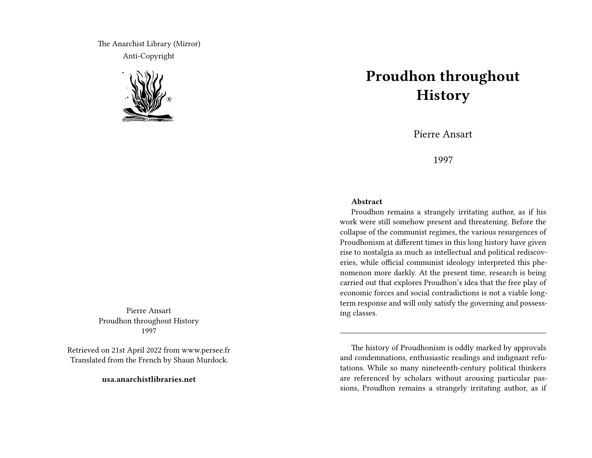The Anarchist Library (Mirror) Anti-Copyright



Pierre Ansart Proudhon throughout History 1997

Retrieved on 21st April 2022 from www.persee.fr Translated from the French by Shaun Murdock.

**usa.anarchistlibraries.net**

## **Proudhon throughout History**

Pierre Ansart

1997

## **Abstract**

Proudhon remains a strangely irritating author, as if his work were still somehow present and threatening. Before the collapse of the communist regimes, the various resurgences of Proudhonism at different times in this long history have given rise to nostalgia as much as intellectual and political rediscoveries, while official communist ideology interpreted this phenomenon more darkly. At the present time, research is being carried out that explores Proudhon's idea that the free play of economic forces and social contradictions is not a viable longterm response and will only satisfy the governing and possessing classes.

The history of Proudhonism is oddly marked by approvals and condemnations, enthusiastic readings and indignant refutations. While so many nineteenth-century political thinkers are referenced by scholars without arousing particular passions, Proudhon remains a strangely irritating author, as if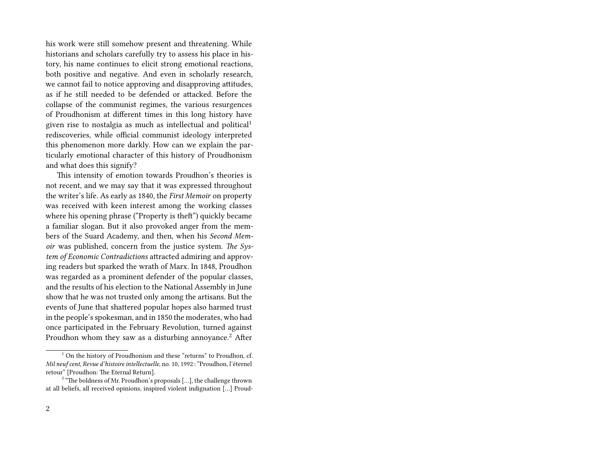his work were still somehow present and threatening. While historians and scholars carefully try to assess his place in history, his name continues to elicit strong emotional reactions, both positive and negative. And even in scholarly research, we cannot fail to notice approving and disapproving attitudes, as if he still needed to be defended or attacked. Before the collapse of the communist regimes, the various resurgences of Proudhonism at different times in this long history have given rise to nostalgia as much as intellectual and political<sup>1</sup> rediscoveries, while official communist ideology interpreted this phenomenon more darkly. How can we explain the particularly emotional character of this history of Proudhonism and what does this signify?

This intensity of emotion towards Proudhon's theories is not recent, and we may say that it was expressed throughout the writer's life. As early as 1840, the *First Memoir* on property was received with keen interest among the working classes where his opening phrase ("Property is theft") quickly became a familiar slogan. But it also provoked anger from the members of the Suard Academy, and then, when his *Second Memoir* was published, concern from the justice system. *The System of Economic Contradictions* attracted admiring and approving readers but sparked the wrath of Marx. In 1848, Proudhon was regarded as a prominent defender of the popular classes, and the results of his election to the National Assembly in June show that he was not trusted only among the artisans. But the events of June that shattered popular hopes also harmed trust in the people's spokesman, and in 1850 the moderates, who had once participated in the February Revolution, turned against Proudhon whom they saw as a disturbing annoyance.<sup>2</sup> After

 $1$  On the history of Proudhonism and these "returns" to Proudhon, cf. *Mil neuf cent, Revue d'histoire intellectuelle*, no. 10, 1992 : "Proudhon, l'éternel retour" [Proudhon: The Eternal Return].

 $2\degree$  "The boldness of Mr. Proudhon's proposals [...], the challenge thrown at all beliefs, all received opinions, inspired violent indignation […] Proud-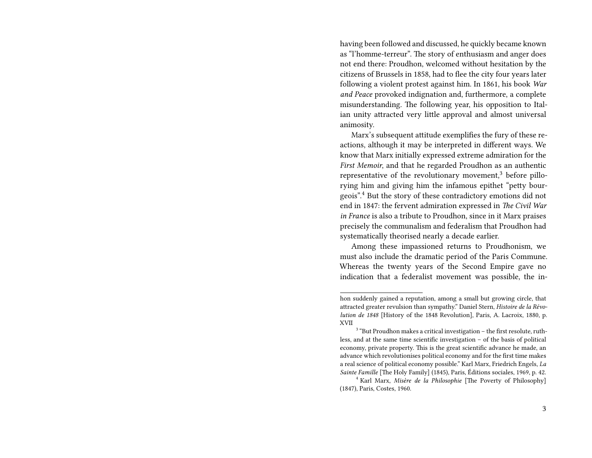having been followed and discussed, he quickly became known as "l'homme-terreur". The story of enthusiasm and anger does not end there: Proudhon, welcomed without hesitation by the citizens of Brussels in 1858, had to flee the city four years later following a violent protest against him. In 1861, his book *War and Peace* provoked indignation and, furthermore, a complete misunderstanding. The following year, his opposition to Italian unity attracted very little approval and almost universal animosity.

Marx's subsequent attitude exemplifies the fury of these reactions, although it may be interpreted in different ways. We know that Marx initially expressed extreme admiration for the *First Memoir*, and that he regarded Proudhon as an authentic representative of the revolutionary movement,<sup>3</sup> before pillorying him and giving him the infamous epithet "petty bourgeois".<sup>4</sup> But the story of these contradictory emotions did not end in 1847: the fervent admiration expressed in *The Civil War in France* is also a tribute to Proudhon, since in it Marx praises precisely the communalism and federalism that Proudhon had systematically theorised nearly a decade earlier.

Among these impassioned returns to Proudhonism, we must also include the dramatic period of the Paris Commune. Whereas the twenty years of the Second Empire gave no indication that a federalist movement was possible, the in-

hon suddenly gained a reputation, among a small but growing circle, that attracted greater revulsion than sympathy." Daniel Stern, *Histoire de la Révolution de 1848* [History of the 1848 Revolution], Paris, A. Lacroix, 1880, p. XVII

 $3$  "But Proudhon makes a critical investigation  $-$  the first resolute, ruthless, and at the same time scientific investigation – of the basis of political economy, private property. This is the great scientific advance he made, an advance which revolutionises political economy and for the first time makes a real science of political economy possible." Karl Marx, Friedrich Engels, *La Sainte Famille* [The Holy Family] (1845), Paris, Éditions sociales, 1969, p. 42.

<sup>4</sup> Karl Marx, *Misère de la Philosophie* [The Poverty of Philosophy] (1847), Paris, Costes, 1960.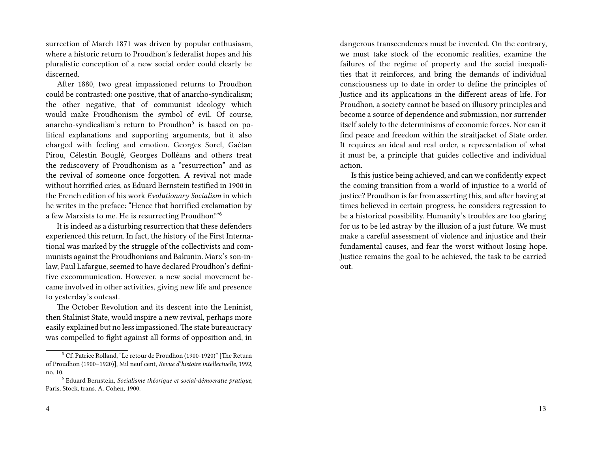surrection of March 1871 was driven by popular enthusiasm, where a historic return to Proudhon's federalist hopes and his pluralistic conception of a new social order could clearly be discerned.

After 1880, two great impassioned returns to Proudhon could be contrasted: one positive, that of anarcho-syndicalism; the other negative, that of communist ideology which would make Proudhonism the symbol of evil. Of course, anarcho-syndicalism's return to Proudhon<sup>5</sup> is based on political explanations and supporting arguments, but it also charged with feeling and emotion. Georges Sorel, Gaétan Pirou, Célestin Bouglé, Georges Dolléans and others treat the rediscovery of Proudhonism as a "resurrection" and as the revival of someone once forgotten. A revival not made without horrified cries, as Eduard Bernstein testified in 1900 in the French edition of his work *Evolutionary Socialism* in which he writes in the preface: "Hence that horrified exclamation by a few Marxists to me. He is resurrecting Proudhon!"<sup>6</sup>

It is indeed as a disturbing resurrection that these defenders experienced this return. In fact, the history of the First International was marked by the struggle of the collectivists and communists against the Proudhonians and Bakunin. Marx's son-inlaw, Paul Lafargue, seemed to have declared Proudhon's definitive excommunication. However, a new social movement became involved in other activities, giving new life and presence to yesterday's outcast.

The October Revolution and its descent into the Leninist, then Stalinist State, would inspire a new revival, perhaps more easily explained but no less impassioned.The state bureaucracy was compelled to fight against all forms of opposition and, in

dangerous transcendences must be invented. On the contrary, we must take stock of the economic realities, examine the failures of the regime of property and the social inequalities that it reinforces, and bring the demands of individual consciousness up to date in order to define the principles of Justice and its applications in the different areas of life. For Proudhon, a society cannot be based on illusory principles and become a source of dependence and submission, nor surrender itself solely to the determinisms of economic forces. Nor can it find peace and freedom within the straitjacket of State order. It requires an ideal and real order, a representation of what it must be, a principle that guides collective and individual action.

Is this justice being achieved, and can we confidently expect the coming transition from a world of injustice to a world of justice? Proudhon is far from asserting this, and after having at times believed in certain progress, he considers regression to be a historical possibility. Humanity's troubles are too glaring for us to be led astray by the illusion of a just future. We must make a careful assessment of violence and injustice and their fundamental causes, and fear the worst without losing hope. Justice remains the goal to be achieved, the task to be carried out.

<sup>5</sup> Cf. Patrice Rolland, "Le retour de Proudhon (1900-1920)" [The Return of Proudhon (1900–1920)], Mil neuf cent, *Revue d'histoire intellectuelle*, 1992, no. 10.

<sup>6</sup> Eduard Bernstein, *Socialisme théorique et social-démocratie pratique*, Paris, Stock, trans. A. Cohen, 1900.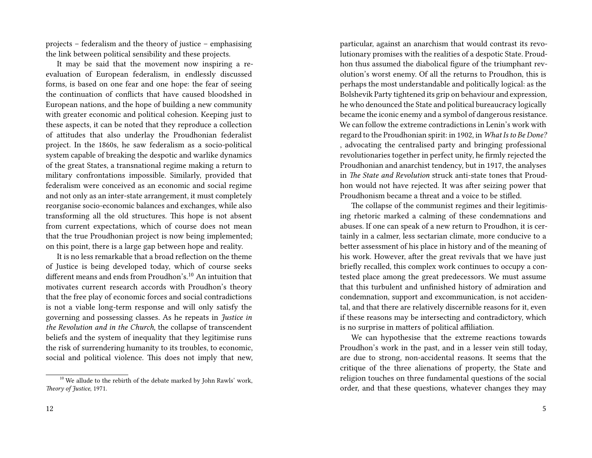projects – federalism and the theory of justice – emphasising the link between political sensibility and these projects.

It may be said that the movement now inspiring a reevaluation of European federalism, in endlessly discussed forms, is based on one fear and one hope: the fear of seeing the continuation of conflicts that have caused bloodshed in European nations, and the hope of building a new community with greater economic and political cohesion. Keeping just to these aspects, it can be noted that they reproduce a collection of attitudes that also underlay the Proudhonian federalist project. In the 1860s, he saw federalism as a socio-political system capable of breaking the despotic and warlike dynamics of the great States, a transnational regime making a return to military confrontations impossible. Similarly, provided that federalism were conceived as an economic and social regime and not only as an inter-state arrangement, it must completely reorganise socio-economic balances and exchanges, while also transforming all the old structures. This hope is not absent from current expectations, which of course does not mean that the true Proudhonian project is now being implemented; on this point, there is a large gap between hope and reality.

It is no less remarkable that a broad reflection on the theme of Justice is being developed today, which of course seeks different means and ends from Proudhon's.<sup>10</sup> An intuition that motivates current research accords with Proudhon's theory that the free play of economic forces and social contradictions is not a viable long-term response and will only satisfy the governing and possessing classes. As he repeats in *Justice in the Revolution and in the Church*, the collapse of transcendent beliefs and the system of inequality that they legitimise runs the risk of surrendering humanity to its troubles, to economic, social and political violence. This does not imply that new,

particular, against an anarchism that would contrast its revolutionary promises with the realities of a despotic State. Proudhon thus assumed the diabolical figure of the triumphant revolution's worst enemy. Of all the returns to Proudhon, this is perhaps the most understandable and politically logical: as the Bolshevik Party tightened its grip on behaviour and expression, he who denounced the State and political bureaucracy logically became the iconic enemy and a symbol of dangerous resistance. We can follow the extreme contradictions in Lenin's work with regard to the Proudhonian spirit: in 1902, in *What Is to Be Done?* , advocating the centralised party and bringing professional revolutionaries together in perfect unity, he firmly rejected the Proudhonian and anarchist tendency, but in 1917, the analyses in *The State and Revolution* struck anti-state tones that Proudhon would not have rejected. It was after seizing power that Proudhonism became a threat and a voice to be stifled.

The collapse of the communist regimes and their legitimising rhetoric marked a calming of these condemnations and abuses. If one can speak of a new return to Proudhon, it is certainly in a calmer, less sectarian climate, more conducive to a better assessment of his place in history and of the meaning of his work. However, after the great revivals that we have just briefly recalled, this complex work continues to occupy a contested place among the great predecessors. We must assume that this turbulent and unfinished history of admiration and condemnation, support and excommunication, is not accidental, and that there are relatively discernible reasons for it, even if these reasons may be intersecting and contradictory, which is no surprise in matters of political affiliation.

We can hypothesise that the extreme reactions towards Proudhon's work in the past, and in a lesser vein still today, are due to strong, non-accidental reasons. It seems that the critique of the three alienations of property, the State and religion touches on three fundamental questions of the social order, and that these questions, whatever changes they may

 $10$  We allude to the rebirth of the debate marked by John Rawls' work, *Theory of Justice*, 1971.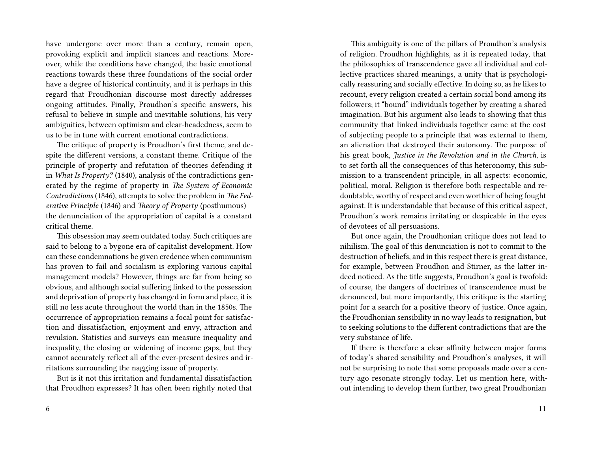have undergone over more than a century, remain open, provoking explicit and implicit stances and reactions. Moreover, while the conditions have changed, the basic emotional reactions towards these three foundations of the social order have a degree of historical continuity, and it is perhaps in this regard that Proudhonian discourse most directly addresses ongoing attitudes. Finally, Proudhon's specific answers, his refusal to believe in simple and inevitable solutions, his very ambiguities, between optimism and clear-headedness, seem to us to be in tune with current emotional contradictions.

The critique of property is Proudhon's first theme, and despite the different versions, a constant theme. Critique of the principle of property and refutation of theories defending it in *What Is Property?* (1840), analysis of the contradictions generated by the regime of property in *The System of Economic Contradictions* (1846), attempts to solve the problem in *The Federative Principle* (1846) and *Theory of Property* (posthumous) – the denunciation of the appropriation of capital is a constant critical theme.

This obsession may seem outdated today. Such critiques are said to belong to a bygone era of capitalist development. How can these condemnations be given credence when communism has proven to fail and socialism is exploring various capital management models? However, things are far from being so obvious, and although social suffering linked to the possession and deprivation of property has changed in form and place, it is still no less acute throughout the world than in the 1850s. The occurrence of appropriation remains a focal point for satisfaction and dissatisfaction, enjoyment and envy, attraction and revulsion. Statistics and surveys can measure inequality and inequality, the closing or widening of income gaps, but they cannot accurately reflect all of the ever-present desires and irritations surrounding the nagging issue of property.

But is it not this irritation and fundamental dissatisfaction that Proudhon expresses? It has often been rightly noted that

This ambiguity is one of the pillars of Proudhon's analysis of religion. Proudhon highlights, as it is repeated today, that the philosophies of transcendence gave all individual and collective practices shared meanings, a unity that is psychologically reassuring and socially effective. In doing so, as he likes to recount, every religion created a certain social bond among its followers; it "bound" individuals together by creating a shared imagination. But his argument also leads to showing that this community that linked individuals together came at the cost of subjecting people to a principle that was external to them, an alienation that destroyed their autonomy. The purpose of his great book, *Justice in the Revolution and in the Church*, is to set forth all the consequences of this heteronomy, this submission to a transcendent principle, in all aspects: economic, political, moral. Religion is therefore both respectable and redoubtable, worthy of respect and even worthier of being fought against. It is understandable that because of this critical aspect, Proudhon's work remains irritating or despicable in the eyes of devotees of all persuasions.

But once again, the Proudhonian critique does not lead to nihilism. The goal of this denunciation is not to commit to the destruction of beliefs, and in this respect there is great distance, for example, between Proudhon and Stirner, as the latter indeed noticed. As the title suggests, Proudhon's goal is twofold: of course, the dangers of doctrines of transcendence must be denounced, but more importantly, this critique is the starting point for a search for a positive theory of justice. Once again, the Proudhonian sensibility in no way leads to resignation, but to seeking solutions to the different contradictions that are the very substance of life.

If there is therefore a clear affinity between major forms of today's shared sensibility and Proudhon's analyses, it will not be surprising to note that some proposals made over a century ago resonate strongly today. Let us mention here, without intending to develop them further, two great Proudhonian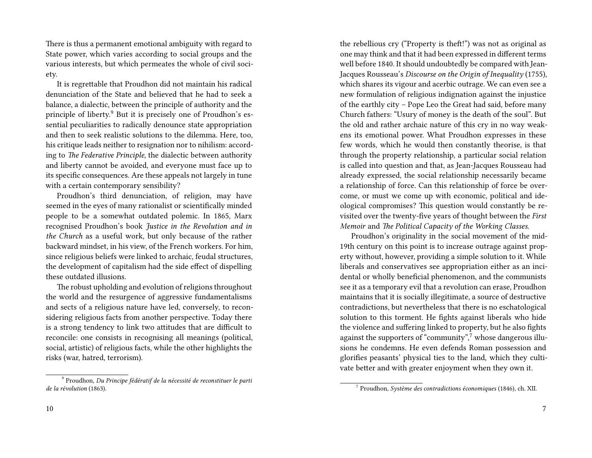There is thus a permanent emotional ambiguity with regard to State power, which varies according to social groups and the various interests, but which permeates the whole of civil society.

It is regrettable that Proudhon did not maintain his radical denunciation of the State and believed that he had to seek a balance, a dialectic, between the principle of authority and the principle of liberty.<sup>9</sup> But it is precisely one of Proudhon's essential peculiarities to radically denounce state appropriation and then to seek realistic solutions to the dilemma. Here, too, his critique leads neither to resignation nor to nihilism: according to *The Federative Principle*, the dialectic between authority and liberty cannot be avoided, and everyone must face up to its specific consequences. Are these appeals not largely in tune with a certain contemporary sensibility?

Proudhon's third denunciation, of religion, may have seemed in the eyes of many rationalist or scientifically minded people to be a somewhat outdated polemic. In 1865, Marx recognised Proudhon's book *Justice in the Revolution and in the Church* as a useful work, but only because of the rather backward mindset, in his view, of the French workers. For him, since religious beliefs were linked to archaic, feudal structures, the development of capitalism had the side effect of dispelling these outdated illusions.

The robust upholding and evolution of religions throughout the world and the resurgence of aggressive fundamentalisms and sects of a religious nature have led, conversely, to reconsidering religious facts from another perspective. Today there is a strong tendency to link two attitudes that are difficult to reconcile: one consists in recognising all meanings (political, social, artistic) of religious facts, while the other highlights the risks (war, hatred, terrorism).

the rebellious cry ("Property is theft!") was not as original as one may think and that it had been expressed in different terms well before 1840. It should undoubtedly be compared with Jean-Jacques Rousseau's *Discourse on the Origin of Inequality* (1755), which shares its vigour and acerbic outrage. We can even see a new formulation of religious indignation against the injustice of the earthly city – Pope Leo the Great had said, before many Church fathers: "Usury of money is the death of the soul". But the old and rather archaic nature of this cry in no way weakens its emotional power. What Proudhon expresses in these few words, which he would then constantly theorise, is that through the property relationship, a particular social relation is called into question and that, as Jean-Jacques Rousseau had already expressed, the social relationship necessarily became a relationship of force. Can this relationship of force be overcome, or must we come up with economic, political and ideological compromises? This question would constantly be revisited over the twenty-five years of thought between the *First Memoir* and *The Political Capacity of the Working Classes*.

Proudhon's originality in the social movement of the mid-19th century on this point is to increase outrage against property without, however, providing a simple solution to it. While liberals and conservatives see appropriation either as an incidental or wholly beneficial phenomenon, and the communists see it as a temporary evil that a revolution can erase, Proudhon maintains that it is socially illegitimate, a source of destructive contradictions, but nevertheless that there is no eschatological solution to this torment. He fights against liberals who hide the violence and suffering linked to property, but he also fights against the supporters of "community", $\frac{7}{7}$  whose dangerous illusions he condemns. He even defends Roman possession and glorifies peasants' physical ties to the land, which they cultivate better and with greater enjoyment when they own it.

<sup>9</sup> Proudhon, *Du Principe fédératif de la nécessité de reconstituer le parti de la révolution* (1863).

<sup>7</sup> Proudhon, *Système des contradictions économiques* (1846), ch. XII.